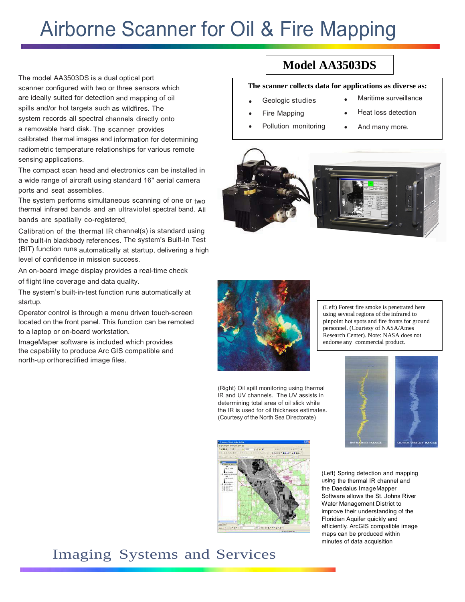# Airborne Scanner for Oil & Fire Mapping

The model AA3503DS is a dual optical port scanner configured with two or three sensors which are ideally suited for detection and mapping of oil spills and/or hot targets such as wildfires. The system records all spectral channels directly onto a removable hard disk. The scanner provides calibrated thermal images and information for determining radiometric temperature relationships for various remote sensing applications.

The compact scan head and electronics can be installed in a wide range of aircraft using standard 16" aerial camera ports and seat assemblies.

The system performs simultaneous scanning of one or two thermal infrared bands and an ultraviolet spectral band. All bands are spatially co-registered.

Calibration of the thermal IR channel(s) is standard using the built-in blackbody references. The system's Built-In Test (BIT) function runs automatically at startup, delivering a high level of confidence in mission success.

An on-board image display provides a real-time check of flight line coverage and data quality.

The system's built-in-test function runs automatically at startup.

Operator control is through a menu driven touch-screen located on the front panel. This function can be remoted to a laptop or on-board workstation.

ImageMaper software is included which provides the capability to produce Arc GIS compatible and north-up orthorectified image files.

# **Model AA3503DS**

# **The scanner collects data for applications as diverse as:**

- Geologic studies
- Maritime surveillance Heat loss detection
- Fire Mapping

Pollution monitoring

And many more.

(Left) Forest fire smoke is penetrated here using several regions of the infrared to pinpoint hot spots and fire fronts for ground personnel. (Courtesy of NASA/Ames Research Center). Note: NASA does not





endorse any commercial product.

(Right) Oil spill monitoring using thermal IR and UV channels. The UV assists in determining total area of oil slick while the IR is used for oil thickness estimates. (Courtesy of the North Sea Directorate)





(Left) Spring detection and mapping using the thermal IR channel and the Daedalus ImageMapper Software allows the St. Johns River Water Management District to improve their understanding of the Floridian Aquifer quickly and efficiently. ArcGIS compatible image maps can be produced within minutes of data acquisition

# Imaging Systems and Services